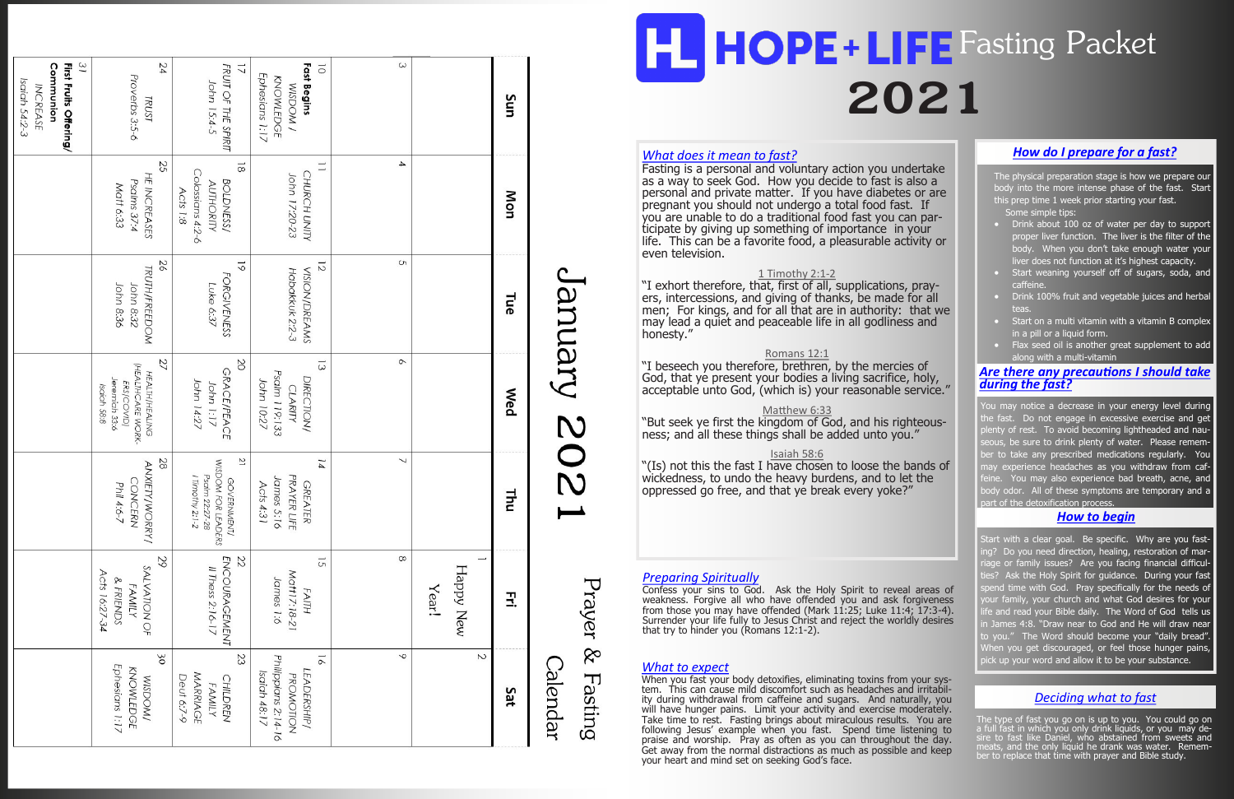#### *What does it mean to fast?*

"I exhort therefore, that, first of all, supplications, prayers, intercessions, and giving of thanks, be made for all men; For kings, and for all that are in authority: that we may lead a quiet and peaceable life in all godliness and honesty."

Fasting is a personal and voluntary action you undertake as a way to seek God. How you decide to fast is also a personal and private matter. If you have diabetes or are pregnant you should not undergo a total food fast. If you are unable to do a traditional food fast you can participate by giving up something of importance in your life. This can be a favorite food, a pleasurable activity or even television.

#### 1 Timothy 2:1-2

The physical preparation stage is how we prepare our body into the more intense phase of the fast. Start this prep time 1 week prior starting your fast. Some simple tips:

#### Romans 12:1

"I beseech you therefore, brethren, by the mercies of God, that ye present your bodies a living sacrifice, holy, acceptable unto God, (which is) your reasonable service."

#### Matthew 6:33

- **Drink about 100 oz of water per day to support** proper liver function. The liver is the filter of the body. When you don't take enough water your liver does not function at it's highest capacity.
- Start weaning yourself off of sugars, soda, and caffeine.
- Drink 100% fruit and vegetable juices and herbal teas.
- Start on a multi vitamin with a vitamin B complex in a pill or a liquid form.
- Flax seed oil is another great supplement to add along with a multi-vitamin

"But seek ye first the kingdom of God, and his righteousness; and all these things shall be added unto you."

#### Isaiah 58:6

"(Is) not this the fast I have chosen to loose the bands of wickedness, to undo the heavy burdens, and to let the oppressed go free, and that ye break every yoke?"

You may notice a decrease in your energy level during he fast. Do not engage in excessive exercise and get enty of rest. To avoid becoming lightheaded and naueous, be sure to drink plenty of water. Please rememer to take any prescribed medications regularly. You hay experience headaches as you withdraw from caf- $\overline{e}$ ine. You may also experience bad breath, acne, and ody odor. All of these symptoms are temporary and a part of the detoxification process.

#### *How do I prepare for a fast?*

| Fast Begins<br>FRUIT OF THE SPIRIT<br>Ephesians 1:17<br>KNOWLEDGE<br>John 15:4-5<br><b>WOOSIM</b><br>Sun<br>$\overline{\phantom{a}}$<br>$\overline{8}$<br>Colossians 4:2-6<br>CHURCH UNITY<br>John 17:20-23<br>BOLDNESS/<br><b>AUTHORITY</b><br>Mon<br>$\sigma$<br>$\overline{6}$<br>$\overline{z}$<br><b>VISION/DREAMS</b><br>Habakkuk 2:2-3<br><b>FORGIVENESS</b><br>Luke 6:37<br>Tue<br>$\circ$<br>SO<br>$\overline{\omega}$<br><b>GRACE/PEACE</b><br>Psalm 119:133<br><b>DIRECTION/</b><br>John 14:27<br>John 10:27<br>John 1:17<br><b>CLARITY</b><br>Wed<br>$\overline{c}$<br>↘<br>$\overline{14}$<br>WISDOM FOR LEADERS<br>Psalm 22:27-28<br>I limothy 2:1-2<br>PRAYER LIFE<br>James 5:16<br>GOVERNMENT/<br>Acts 4:31<br><b>GREATER</b><br><b>Thu</b><br>22<br>$\infty$<br><b>ENCOURAGEMENT</b><br>$\overline{S}$<br>Happy New<br>Il Thess 2:16-17<br>Matt17:18-21<br>James 1:6<br>Year!<br>FAITH<br>3.<br>$\sim$<br>P<br>23<br>$\overline{9}$<br>Philippians 2:14-16<br>Calendar<br>LEADERSHIP/<br>Isaiah 48:17<br>MARRIAGE<br>PROMOTION<br><b>CHILDREN</b><br><b>FAMILY</b><br>Sat |
|--------------------------------------------------------------------------------------------------------------------------------------------------------------------------------------------------------------------------------------------------------------------------------------------------------------------------------------------------------------------------------------------------------------------------------------------------------------------------------------------------------------------------------------------------------------------------------------------------------------------------------------------------------------------------------------------------------------------------------------------------------------------------------------------------------------------------------------------------------------------------------------------------------------------------------------------------------------------------------------------------------------------------------------------------------------------------------------------|
| 52<br>HE INCREASES<br>Psalms 37:4<br>Matt 6:33<br>Acts 1:8<br>26<br><b>TRUTH/FREEDOM</b><br>John 8:32<br>John 8:36<br>27<br>(HEALTHCARE WORK-<br><b>HEALTH/HEALING</b><br>Jeremiah 33:6<br>ERS/COVID)<br>28<br><b>ANXIETY/WORRY/</b><br><b>CONCERN</b><br>Phil 4:6-7<br>29<br>SALVATION OF<br>& FRIENDS<br><b>FAMILY</b><br>30<br>Ephesians 1:17<br>KNOWLEDGE<br>Deut 6:7-9<br><b>WOOSIM</b>                                                                                                                                                                                                                                                                                                                                                                                                                                                                                                                                                                                                                                                                                               |
| Isaiah 58:8<br>Acts 16:27-34                                                                                                                                                                                                                                                                                                                                                                                                                                                                                                                                                                                                                                                                                                                                                                                                                                                                                                                                                                                                                                                               |
|                                                                                                                                                                                                                                                                                                                                                                                                                                                                                                                                                                                                                                                                                                                                                                                                                                                                                                                                                                                                                                                                                            |
|                                                                                                                                                                                                                                                                                                                                                                                                                                                                                                                                                                                                                                                                                                                                                                                                                                                                                                                                                                                                                                                                                            |
|                                                                                                                                                                                                                                                                                                                                                                                                                                                                                                                                                                                                                                                                                                                                                                                                                                                                                                                                                                                                                                                                                            |
|                                                                                                                                                                                                                                                                                                                                                                                                                                                                                                                                                                                                                                                                                                                                                                                                                                                                                                                                                                                                                                                                                            |
|                                                                                                                                                                                                                                                                                                                                                                                                                                                                                                                                                                                                                                                                                                                                                                                                                                                                                                                                                                                                                                                                                            |

# **2021 HOPE+LIFE** Fasting Packet

When you fast your body detoxifies, eliminating toxins from your system. This can cause mild discomfort such as headaches and irritability during withdrawal from caffeine and sugars. And naturally, you will have hunger pains. Limit your activity and exercise moderately. Take time to rest. Fasting brings about miraculous results. You are following Jesus' example when you fast. Spend time listening to praise and worship. Pray as often as you can throughout the day. Get away from the normal distractions as much as possible and keep your heart and mind set on seeking God's face.

# NUPIIUP **202**

Prayer  $\otimes$ Fasting

#### *Preparing Spiritually*

Confess your sins to God. Ask the Holy Spirit to reveal areas of weakness. Forgive all who have offended you and ask forgiveness from those you may have offended (Mark 11:25; Luke 11:4; 17:3-4). Surrender your life fully to Jesus Christ and reject the worldly desires that try to hinder you (Romans 12:1-2).

The type of fast you go on is up to you. You could go on a full fast in which you only drink liquids, or you may desire to fast like Daniel, who abstained from sweets and meats, and the only liquid he drank was water. Remember to replace that time with prayer and Bible study.

#### *Are there any precautions I should take during the fast?*

#### *How to begin*

Start with a clear goal. Be specific. Why are you fastng? Do you need direction, healing, restoration of mariage or family issues? Are you facing financial difficul- $\theta$  Ask the Holy Spirit for guidance. During your fast spend time with God. Pray specifically for the needs of our family, your church and what God desires for your ie and read your Bible daily. The Word of God tells us I James 4:8. "Draw near to God and He will draw near to you." The Word should become your "daily bread". When you get discouraged, or feel those hunger pains, *What to expect pick up your word and allow it to be your substance.* **<b>What to expect** 

#### *Deciding what to fast*